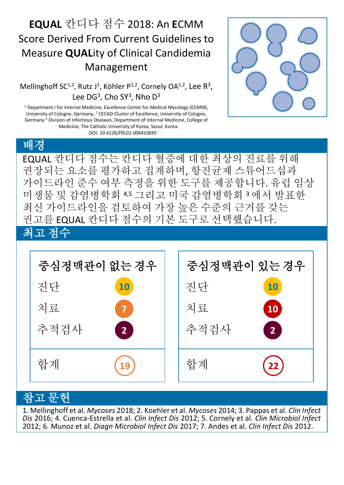## **EQUAL** 칸디다 점수 2018: An **E**CMM Score Derived From Current Guidelines to Measure **QUAL**ity of Clinical Candidemia Management

Mellinghoff SC<sup>1,2</sup>, Rutz J<sup>2</sup>, Köhler P<sup>1,2</sup>, Cornely OA<sup>1,2</sup>, Lee R<sup>3</sup>, Lee DG<sup>3</sup>, Cho SY<sup>3</sup>, Nho D<sup>3</sup>

<sup>1</sup> Department I for Internal Medicine, Excellence Center for Medical Mycology (ECMM), University of Cologne, Germany, <sup>2</sup> CECAD Cluster of Excellence, University of Cologne, Germany <sup>3</sup> Division of Infectious Diseases, Department of Internal Medicine, College of Medicine, The Catholic University of Korea, Seoul, Korea. *DOI: 10.4126/FRL01-006433695*





## 참고 문헌

1. Mellinghoff et al. *Mycoses* 2018; 2. Koehler et al. *Mycoses* 2014; 3. Pappas et al. *Clin Infect Dis* 2016; 4. Cuenca-Estrella et al. *Clin Infect Dis* 2012; 5. Cornely et al. *Clin Microbiol Infect* 2012; 6. Munoz et al. *Diagn Microbiol Infect Dis* 2017; 7. Andes et al. *Clin Infect Dis* 2012.